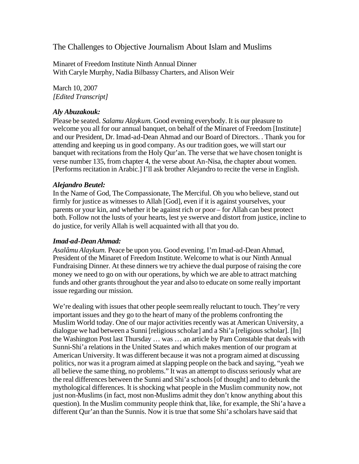The Challenges to Objective Journalism About Islam and Muslims

Minaret of Freedom Institute Ninth Annual Dinner With Caryle Murphy, Nadia Bilbassy Charters, and Alison Weir

March 10, 2007 *[Edited Transcript]*

# *Aly Abuzakouk:*

Please be seated. *Salamu Alaykum*. Good evening everybody. It is our pleasure to welcome you all for our annual banquet, on behalf of the Minaret of Freedom [Institute] and our President, Dr. Imad-ad-Dean Ahmad and our Board of Directors. . Thank you for attending and keeping us in good company. As our tradition goes, we will start our banquet with recitations from the Holy Qur'an. The verse that we have chosen tonight is verse number 135, from chapter 4, the verse about An-Nisa, the chapter about women. [Performs recitation in Arabic.] I'll ask brother Alejandro to recite the verse in English.

# *Alejandro Beutel:*

In the Name of God, The Compassionate, The Merciful. Oh you who believe, stand out firmly for justice as witnesses to Allah [God], even if it is against yourselves, your parents or your kin, and whether it be against rich or poor – for Allah can best protect both. Follow not the lusts of your hearts, lest ye swerve and distort from justice, incline to do justice, for verily Allah is well acquainted with all that you do.

# *Imad-ad-Dean Ahmad:*

*Asalâmu Alaykum.* Peace be upon you. Good evening. I'm Imad-ad-Dean Ahmad, President of the Minaret of Freedom Institute. Welcome to what is our Ninth Annual Fundraising Dinner. At these dinners we try achieve the dual purpose of raising the core money we need to go on with our operations, by which we are able to attract matching funds and other grants throughout the year and also to educate on some really important issue regarding our mission.

We're dealing with issues that other people seem really reluctant to touch. They're very important issues and they go to the heart of many of the problems confronting the Muslim World today. One of our major activities recently was at American University, a dialogue we had between a Sunni [religious scholar] and a Shi'a [religious scholar]. [In] the Washington Post last Thursday … was … an article by Pam Constable that deals with Sunni-Shi'a relations in the United States and which makes mention of our program at American University. It was different because it was not a program aimed at discussing politics, nor was it a program aimed at slapping people on the back and saying, "yeah we all believe the same thing, no problems." It was an attempt to discuss seriously what are the real differences between the Sunni and Shi'a schools [of thought] and to debunk the mythological differences. It is shocking what people in the Muslim community now, not just non-Muslims (in fact, most non-Muslims admit they don't know anything about this question). In the Muslim community people think that, like, for example, the Shi'a have a different Qur'an than the Sunnis. Now it is true that some Shi'a scholars have said that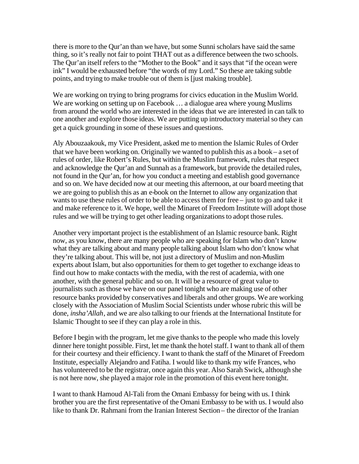there is more to the Qur'an than we have, but some Sunni scholars have said the same thing, so it's really not fair to point THAT out as a difference between the two schools. The Qur'an itself refers to the "Mother to the Book" and it says that "if the ocean were ink" I would be exhausted before "the words of my Lord." So these are taking subtle points, and trying to make trouble out of them is [just making trouble].

We are working on trying to bring programs for civics education in the Muslim World. We are working on setting up on Facebook ... a dialogue area where young Muslims from around the world who are interested in the ideas that we are interested in can talk to one another and explore those ideas. We are putting up introductory material so they can get a quick grounding in some of these issues and questions.

Aly Abouzaakouk, my Vice President, asked me to mention the Islamic Rules of Order that we have been working on. Originally we wanted to publish this as a book – a set of rules of order, like Robert's Rules, but within the Muslim framework, rules that respect and acknowledge the Qur'an and Sunnah as a framework, but provide the detailed rules, not found in the Qur'an, for how you conduct a meeting and establish good governance and so on. We have decided now at our meeting this afternoon, at our board meeting that we are going to publish this as an e-book on the Internet to allow any organization that wants to use these rules of order to be able to access them for free – just to go and take it and make reference to it. We hope, well the Minaret of Freedom Institute will adopt those rules and we will be trying to get other leading organizations to adopt those rules.

Another very important project is the establishment of an Islamic resource bank. Right now, as you know, there are many people who are speaking for Islam who don't know what they are talking about and many people talking about Islam who don't know what they're talking about. This will be, not just a directory of Muslim and non-Muslim experts about Islam, but also opportunities for them to get together to exchange ideas to find out how to make contacts with the media, with the rest of academia, with one another, with the general public and so on. It will be a resource of great value to journalists such as those we have on our panel tonight who are making use of other resource banks provided by conservatives and liberals and other groups. We are working closely with the Association of Muslim Social Scientists under whose rubric this will be done, *insha'Allah*, and we are also talking to our friends at the International Institute for Islamic Thought to see if they can play a role in this.

Before I begin with the program, let me give thanks to the people who made this lovely dinner here tonight possible. First, let me thank the hotel staff. I want to thank all of them for their courtesy and their efficiency. I want to thank the staff of the Minaret of Freedom Institute, especially Alejandro and Fatiha. I would like to thank my wife Frances, who has volunteered to be the registrar, once again this year. Also Sarah Swick, although she is not here now, she played a major role in the promotion of this event here tonight.

I want to thank Hamoud Al-Tali from the Omani Embassy for being with us. I think brother you are the first representative of the Omani Embassy to be with us. I would also like to thank Dr. Rahmani from the Iranian Interest Section – the director of the Iranian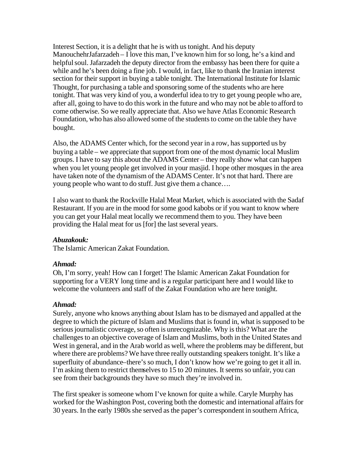Interest Section, it is a delight that he is with us tonight. And his deputy ManouchehrJafarzadeh – I love this man, I've known him for so long, he's a kind and helpful soul. Jafarzadeh the deputy director from the embassy has been there for quite a while and he's been doing a fine job. I would, in fact, like to thank the Iranian interest section for their support in buying a table tonight. The International Institute for Islamic Thought, for purchasing a table and sponsoring some of the students who are here tonight. That was very kind of you, a wonderful idea to try to get young people who are, after all, going to have to do this work in the future and who may not be able to afford to come otherwise. So we really appreciate that. Also we have Atlas Economic Research Foundation, who has also allowed some of the students to come on the table they have bought.

Also, the ADAMS Center which, for the second year in a row, has supported us by buying a table – we appreciate that support from one of the most dynamic local Muslim groups. I have to say this about the ADAMS Center – they really show what can happen when you let young people get involved in your masjid. I hope other mosques in the area have taken note of the dynamism of the ADAMS Center. It's not that hard. There are young people who want to do stuff. Just give them a chance….

I also want to thank the Rockville Halal Meat Market, which is associated with the Sadaf Restaurant. If you are in the mood for some good kabobs or if you want to know where you can get your Halal meat locally we recommend them to you. They have been providing the Halal meat for us [for] the last several years.

# *Abuzakouk:*

The Islamic American Zakat Foundation.

# *Ahmad:*

Oh, I'm sorry, yeah! How can I forget! The Islamic American Zakat Foundation for supporting for a VERY long time and is a regular participant here and I would like to welcome the volunteers and staff of the Zakat Foundation who are here tonight.

# *Ahmad:*

Surely, anyone who knows anything about Islam has to be dismayed and appalled at the degree to which the picture of Islam and Muslims that is found in, what is supposed to be serious journalistic coverage, so often is unrecognizable. Why is this? What are the challenges to an objective coverage of Islam and Muslims, both in the United States and West in general, and in the Arab world as well, where the problems may be different, but where there are problems? We have three really outstanding speakers tonight. It's like a superfluity of abundance–there's so much, I don't know how we're going to get it all in. I'm asking them to restrict themselves to 15 to 20 minutes. It seems so unfair, you can see from their backgrounds they have so much they're involved in.

The first speaker is someone whom I've known for quite a while. Caryle Murphy has worked for the Washington Post, covering both the domestic and international affairs for 30 years. In the early 1980s she served as the paper's correspondent in southern Africa,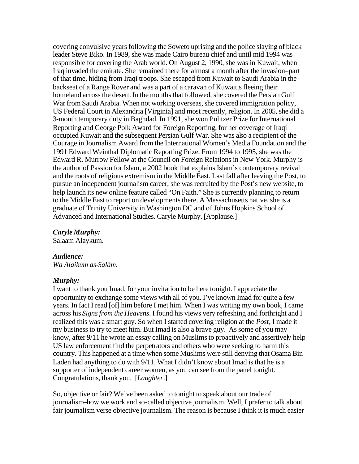covering convulsive years following the Soweto uprising and the police slaying of black leader Steve Biko. In 1989, she was made Cairo bureau chief and until mid 1994 was responsible for covering the Arab world. On August 2, 1990, she was in Kuwait, when Iraq invaded the emirate. She remained there for almost a month after the invasion–part of that time, hiding from Iraqi troops. She escaped from Kuwait to Saudi Arabia in the backseat of a Range Rover and was a part of a caravan of Kuwaitis fleeing their homeland across the desert. In the months that followed, she covered the Persian Gulf War from Saudi Arabia. When not working overseas, she covered immigration policy, US Federal Court in Alexandria [Virginia] and most recently, religion. In 2005, she did a 3-month temporary duty in Baghdad. In 1991, she won Pulitzer Prize for International Reporting and George Polk Award for Foreign Reporting, for her coverage of Iraqi occupied Kuwait and the subsequent Persian Gulf War. She was also a recipient of the Courage in Journalism Award from the International Women's Media Foundation and the 1991 Edward Weinthal Diplomatic Reporting Prize. From 1994 to 1995, she was the Edward R. Murrow Fellow at the Council on Foreign Relations in New York. Murphy is the author of Passion for Islam, a 2002 book that explains Islam's contemporary revival and the roots of religious extremism in the Middle East. Last fall after leaving the Post, to pursue an independent journalism career, she was recruited by the Post's new website, to help launch its new online feature called "On Faith." She is currently planning to return to the Middle East to report on developments there. A Massachusetts native, she is a graduate of Trinity University in Washington DC and of Johns Hopkins School of Advanced and International Studies. Caryle Murphy. [Applause.]

#### *Caryle Murphy:*

Salaam Alaykum.

# *Audience:*

*Wa Alaikum as-Salâm.*

#### *Murphy:*

I want to thank you Imad, for your invitation to be here tonight. I appreciate the opportunity to exchange some views with all of you. I've known Imad for quite a few years. In fact I read [of] him before I met him. When I was writing my own book, I came across his *Signs from the Heavens*. I found his views very refreshing and forthright and I realized this was a smart guy. So when I started covering religion at the *Post*, I made it my business to try to meet him. But Imad is also a brave guy. As some of you may know, after 9/11 he wrote an essay calling on Muslims to proactively and assertively help US law enforcement find the perpetrators and others who were seeking to harm this country. This happened at a time when some Muslims were still denying that Osama Bin Laden had anything to do with 9/11. What I didn't know about Imad is that he is a supporter of independent career women, as you can see from the panel tonight. Congratulations, thank you. [*Laughter*.]

So, objective or fair? We've been asked to tonight to speak about our trade of journalism–how we work and so-called objective journalism. Well, I prefer to talk about fair journalism verse objective journalism. The reason is because I think it is much easier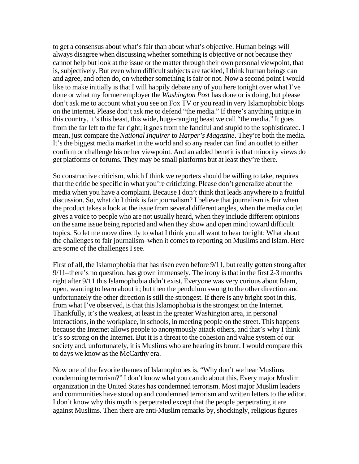to get a consensus about what's fair than about what's objective. Human beings will always disagree when discussing whether something is objective or not because they cannot help but look at the issue or the matter through their own personal viewpoint, that is, subjectively. But even when difficult subjects are tackled, I think human beings can and agree, and often do, on whether something is fair or not. Now a second point I would like to make initially is that I will happily debate any of you here tonight over what I've done or what my former employer the *Washington Post* has done or is doing, but please don't ask me to account what you see on Fox TV or you read in very Islamophobic blogs on the internet. Please don't ask me to defend "the media." If there's anything unique in this country, it's this beast, this wide, huge-ranging beast we call "the media." It goes from the far left to the far right; it goes from the fanciful and stupid to the sophisticated. I mean, just compare the *National Inquirer* to *Harper's Magazine*. They're both the media. It's the biggest media market in the world and so any reader can find an outlet to either confirm or challenge his or her viewpoint. And an added benefit is that minority views do get platforms or forums. They may be small platforms but at least they're there.

So constructive criticism, which I think we reporters should be willing to take, requires that the critic be specific in what you're criticizing. Please don't generalize about the media when you have a complaint. Because I don't think that leads anywhere to a fruitful discussion. So, what do I think is fair journalism? I believe that journalism is fair when the product takes a look at the issue from several different angles, when the media outlet gives a voice to people who are not usually heard, when they include different opinions on the same issue being reported and when they show and open mind toward difficult topics. So let me move directly to what I think you all want to hear tonight: What about the challenges to fair journalism–when it comes to reporting on Muslims and Islam. Here are some of the challenges I see.

First of all, the Islamophobia that has risen even before 9/11, but really gotten strong after 9/11–there's no question. has grown immensely. The irony is that in the first 2-3 months right after 9/11 this Islamophobia didn't exist. Everyone was very curious about Islam, open, wanting to learn about it; but then the pendulum swung to the other direction and unfortunately the other direction is still the strongest. If there is any bright spot in this, from what I've observed, is that this Islamophobia is the strongest on the Internet. Thankfully, it's the weakest, at least in the greater Washington area, in personal interactions, in the workplace, in schools, in meeting people on the street. This happens because the Internet allows people to anonymously attack others, and that's why I think it's so strong on the Internet. But it is a threat to the cohesion and value system of our society and, unfortunately, it is Muslims who are bearing its brunt. I would compare this to days we know as the McCarthy era.

Now one of the favorite themes of Islamophobes is, "Why don't we hear Muslims condemning terrorism?" I don't know what you can do about this. Every major Muslim organization in the United States has condemned terrorism. Most major Muslim leaders and communities have stood up and condemned terrorism and written letters to the editor. I don't know why this myth is perpetrated except that the people perpetrating it are against Muslims. Then there are anti-Muslim remarks by, shockingly, religious figures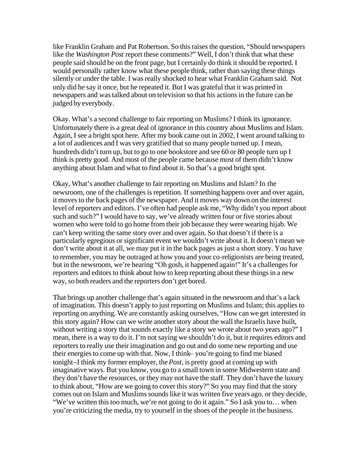like Franklin Graham and Pat Robertson. So this raises the question, "Should newspapers like the *Washington Post* report these comments?" Well, I don't think that what these people said should be on the front page, but I certainly do think it should be reported. I would personally rather know what these people think, rather than saying these things silently or under the table. I was really shocked to hear what Franklin Graham said. Not only did he say it once, but he repeated it. But I was grateful that it was printed in newspapers and was talked about on television so that his actions in the future can be judged by everybody.

Okay. What's a second challenge to fair reporting on Muslims? I think its ignorance. Unfortunately there is a great deal of ignorance in this country about Muslims and Islam. Again, I see a bright spot here. After my book came out in 2002, I went around talking to a lot of audiences and I was very gratified that so many people turned up. I mean, hundreds didn't turn up, but to go to one bookstore and see 60 or 80 people turn up I think is pretty good. And most of the people came because most of them didn't know anything about Islam and what to find about it. So that's a good bright spot.

Okay, What's another challenge to fair reporting on Muslims and Islam? In the newsroom, one of the challenges is repetition. If something happens over and over again, it moves to the back pages of the newspaper. And it moves way down on the interest level of reporters and editors. I've often had people ask me, "Why didn't you report about such and such?" I would have to say, we've already written four or five stories about women who were told to go home from their job because they were wearing hijab. We can't keep writing the same story over and over again. So that doesn't if there is a particularly egregious or significant event we wouldn't write about it. It doesn't mean we don't write about it at all, we may put it in the back pages as just a short story. You have to remember, you may be outraged at how you and your co-religionists are being treated, but in the newsroom, we're hearing "Oh gosh, it happened again!" It's a challenges for reporters and editors to think about how to keep reporting about these things in a new way, so both readers and the reporters don't get bored.

That brings up another challenge that's again situated in the newsroom and that's a lack of imagination. This doesn't apply to just reporting on Muslims and Islam; this applies to reporting on anything. We are constantly asking ourselves, "How can we get interested in this story again? How can we write another story about the wall the Israelis have built, without writing a story that sounds exactly like a story we wrote about two years ago?" I mean, there is a way to do it. I'm not saying we shouldn't do it, but it requires editors and reporters to really use their imagination and go out and do some new reporting and use their energies to come up with that. Now, I think– you're going to find me biased tonight–I think my former employer, the *Post*, is pretty good at coming up with imaginative ways. But you know, you go to a small town in some Midwestern state and they don't have the resources, or they may not have the staff. They don't have the luxury to think about, "How are we going to cover this story?" So you may find that the story comes out on Islam and Muslims sounds like it was written five years ago, or they decide, "We've written this too much, we're not going to do it again." So I ask you to... when you're criticizing the media, try to yourself in the shoes of the people in the business.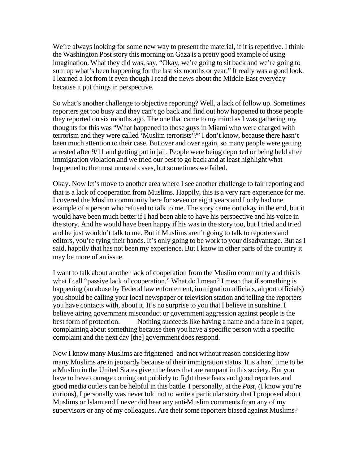We're always looking for some new way to present the material, if it is repetitive. I think the Washington Post story this morning on Gaza is a pretty good example of using imagination. What they did was, say, "Okay, we're going to sit back and we're going to sum up what's been happening for the last six months or year." It really was a good look. I learned a lot from it even though I read the news about the Middle East everyday because it put things in perspective.

So what's another challenge to objective reporting? Well, a lack of follow up. Sometimes reporters get too busy and they can't go back and find out how happened to those people they reported on six months ago. The one that came to my mind as I was gathering my thoughts for this was "What happened to those guys in Miami who were charged with terrorism and they were called 'Muslim terrorists'?" I don't know, because there hasn't been much attention to their case. But over and over again, so many people were getting arrested after 9/11 and getting put in jail. People were being deported or being held after immigration violation and we tried our best to go back and at least highlight what happened to the most unusual cases, but sometimes we failed.

Okay. Now let's move to another area where I see another challenge to fair reporting and that is a lack of cooperation from Muslims. Happily, this is a very rare experience for me. I covered the Muslim community here for seven or eight years and I only had one example of a person who refused to talk to me. The story came out okay in the end, but it would have been much better if I had been able to have his perspective and his voice in the story. And he would have been happy if his was in the story too, but I tried and tried and he just wouldn't talk to me. But if Muslims aren't going to talk to reporters and editors, you're tying their hands. It's only going to be work to your disadvantage. But as I said, happily that has not been my experience. But I know in other parts of the country it may be more of an issue.

I want to talk about another lack of cooperation from the Muslim community and this is what I call "passive lack of cooperation." What do I mean? I mean that if something is happening (an abuse by Federal law enforcement, immigration officials, airport officials) you should be calling your local newspaper or television station and telling the reporters you have contacts with, about it. It's no surprise to you that I believe in sunshine. I believe airing government misconduct or government aggression against people is the best form of protection. Nothing succeeds like having a name and a face in a paper, complaining about something because then you have a specific person with a specific complaint and the next day [the] government does respond.

Now I know many Muslims are frightened–and not without reason considering how many Muslims are in jeopardy because of their immigration status. It is a hard time to be a Muslim in the United States given the fears that are rampant in this society. But you have to have courage coming out publicly to fight these fears and good reporters and good media outlets can be helpful in this battle. I personally, at the *Post*, (I know you're curious), I personally was never told not to write a particular story that I proposed about Muslims or Islam and I never did hear any anti-Muslim comments from any of my supervisors or any of my colleagues. Are their some reporters biased against Muslims?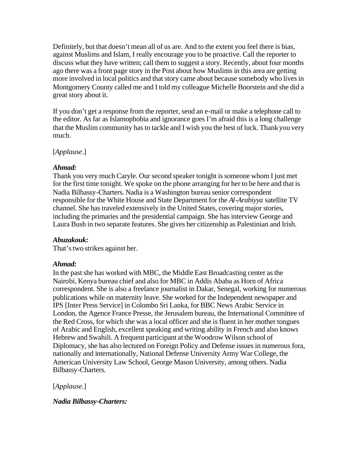Definitely, but that doesn't mean all of us are. And to the extent you feel there is bias, against Muslims and Islam, I really encourage you to be proactive. Call the reporter to discuss what they have written; call them to suggest a story. Recently, about four months ago there was a front page story in the Post about how Muslims in this area are getting more involved in local politics and that story came about because somebody who lives in Montgomery County called me and I told my colleague Michelle Boorstein and she did a great story about it.

If you don't get a response from the reporter, send an e-mail or make a telephone call to the editor. As far as Islamophobia and ignorance goes I'm afraid this is a long challenge that the Muslim community has to tackle and I wish you the best of luck. Thank you very much.

[*Applause*.]

# *Ahmad:*

Thank you very much Caryle. Our second speaker tonight is someone whom I just met for the first time tonight. We spoke on the phone arranging for her to be here and that is Nadia Bilbassy-Charters. Nadia is a Washington bureau senior correspondent responsible for the White House and State Department for the *Al-Arabiyya* satellite TV channel. She has traveled extensively in the United States, covering major stories, including the primaries and the presidential campaign. She has interview George and Laura Bush in two separate features. She gives her citizenship as Palestinian and Irish.

# *Abuzakouk:*

That's two strikes against her.

# *Ahmad:*

In the past she has worked with MBC, the Middle East Broadcasting center as the Nairobi, Kenya bureau chief and also for MBC in Addis Ababa as Horn of Africa correspondent. She is also a freelance journalist in Dakar, Senegal, working for numerous publications while on maternity leave. She worked for the Independent newspaper and IPS [Inter Press Service] in Colombo Sri Lanka, for BBC News Arabic Service in London, the Agence France Presse, the Jerusalem bureau, the International Committee of the Red Cross, for which she was a local officer and she is fluent in her mother tongues of Arabic and English, excellent speaking and writing ability in French and also knows Hebrew and Swahili. A frequent participant at the Woodrow Wilson school of Diplomacy, she has also lectured on Foreign Policy and Defense issues in numerous fora, nationally and internationally, National Defense University Army War College, the American University Law School, George Mason University, among others. Nadia Bilbassy-Charters.

[*Applause.*]

*Nadia Bilbassy-Charters:*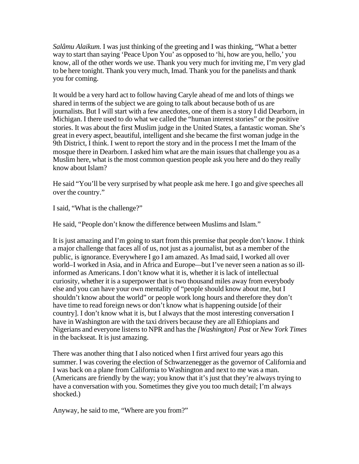*Salâmu Alaikum.* I was just thinking of the greeting and I was thinking, "What a better way to start than saying 'Peace Upon You' as opposed to 'hi, how are you, hello,' you know, all of the other words we use. Thank you very much for inviting me, I'm very glad to be here tonight. Thank you very much, Imad. Thank you for the panelists and thank you for coming.

It would be a very hard act to follow having Caryle ahead of me and lots of things we shared in terms of the subject we are going to talk about because both of us are journalists. But I will start with a few anecdotes, one of them is a story I did Dearborn, in Michigan. I there used to do what we called the "human interest stories" or the positive stories. It was about the first Muslim judge in the United States, a fantastic woman. She's great in every aspect, beautiful, intelligent and she became the first woman judge in the 9th District, I think. I went to report the story and in the process I met the Imam of the mosque there in Dearborn. I asked him what are the main issues that challenge you as a Muslim here, what is the most common question people ask you here and do they really know about Islam?

He said "You'll be very surprised by what people ask me here. I go and give speeches all over the country."

I said, "What is the challenge?"

He said, "People don't know the difference between Muslims and Islam."

It is just amazing and I'm going to start from this premise that people don't know. I think a major challenge that faces all of us, not just as a journalist, but as a member of the public, is ignorance. Everywhere I go I am amazed. As Imad said, I worked all over world–I worked in Asia, and in Africa and Europe—but I've never seen a nation as so illinformed as Americans. I don't know what it is, whether it is lack of intellectual curiosity, whether it is a superpower that is two thousand miles away from everybody else and you can have your own mentality of "people should know about me, but I shouldn't know about the world" or people work long hours and therefore they don't have time to read foreign news or don't know what is happening outside [of their country]. I don't know what it is, but I always that the most interesting conversation I have in Washington are with the taxi drivers because they are all Ethiopians and Nigerians and everyone listens to NPR and has the *[Washington] Post* or *New York Times* in the backseat. It is just amazing.

There was another thing that I also noticed when I first arrived four years ago this summer. I was covering the election of Schwarzenegger as the governor of California and I was back on a plane from California to Washington and next to me was a man. (Americans are friendly by the way; you know that it's just that they're always trying to have a conversation with you. Sometimes they give you too much detail; I'm always shocked.)

Anyway, he said to me, "Where are you from?"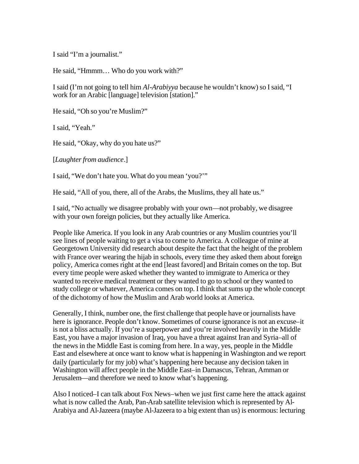I said "I'm a journalist."

He said, "Hmmm… Who do you work with?"

I said (I'm not going to tell him *Al-Arabiyya* because he wouldn't know) so I said, "I work for an Arabic [language] television [station]."

He said, "Oh so you're Muslim?"

I said, "Yeah."

He said, "Okay, why do you hate us?"

[*Laughter from audience*.]

I said, "We don't hate you. What do you mean 'you?'"

He said, "All of you, there, all of the Arabs, the Muslims, they all hate us."

I said, "No actually we disagree probably with your own—not probably, we disagree with your own foreign policies, but they actually like America.

People like America. If you look in any Arab countries or any Muslim countries you'll see lines of people waiting to get a visa to come to America. A colleague of mine at Georgetown University did research about despite the fact that the height of the problem with France over wearing the hijab in schools, every time they asked them about foreign policy, America comes right at the end [least favored] and Britain comes on the top. But every time people were asked whether they wanted to immigrate to America or they wanted to receive medical treatment or they wanted to go to school or they wanted to study college or whatever, America comes on top. I think that sums up the whole concept of the dichotomy of how the Muslim and Arab world looks at America.

Generally, I think, number one, the first challenge that people have or journalists have here is ignorance. People don't know. Sometimes of course ignorance is not an excuse–it is not a bliss actually. If you're a superpower and you're involved heavily in the Middle East, you have a major invasion of Iraq, you have a threat against Iran and Syria–all of the news in the Middle East is coming from here. In a way, yes, people in the Middle East and elsewhere at once want to know what is happening in Washington and we report daily (particularly for my job) what's happening here because any decision taken in Washington will affect people in the Middle East–in Damascus, Tehran, Amman or Jerusalem—and therefore we need to know what's happening.

Also I noticed–I can talk about Fox News–when we just first came here the attack against what is now called the Arab, Pan-Arab satellite television which is represented by Al-Arabiya and Al-Jazeera (maybe Al-Jazeera to a big extent than us) is enormous: lecturing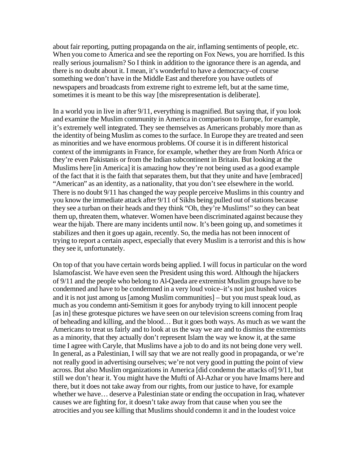about fair reporting, putting propaganda on the air, inflaming sentiments of people, etc. When you come to America and see the reporting on Fox News, you are horrified. Is this really serious journalism? So I think in addition to the ignorance there is an agenda, and there is no doubt about it. I mean, it's wonderful to have a democracy–of course something we don't have in the Middle East and therefore you have outlets of newspapers and broadcasts from extreme right to extreme left, but at the same time, sometimes it is meant to be this way [the misrepresentation is deliberate].

In a world you in live in after 9/11, everything is magnified. But saying that, if you look and examine the Muslim community in America in comparison to Europe, for example, it's extremely well integrated. They see themselves as Americans probably more than as the identity of being Muslim as comes to the surface. In Europe they are treated and seen as minorities and we have enormous problems. Of course it is in different historical context of the immigrants in France, for example, whether they are from North Africa or they're even Pakistanis or from the Indian subcontinent in Britain. But looking at the Muslims here [in America] it is amazing how they're not being used as a good example of the fact that it is the faith that separates them, but that they unite and have [embraced] "American" as an identity, as a nationality, that you don't see elsewhere in the world. There is no doubt 9/11 has changed the way people perceive Muslims in this country and you know the immediate attack after 9/11 of Sikhs being pulled out of stations because they see a turban on their heads and they think "Oh, they're Muslims!" so they can beat them up, threaten them, whatever. Women have been discriminated against because they wear the hijab. There are many incidents until now. It's been going up, and sometimes it stabilizes and then it goes up again, recently. So, the media has not been innocent of trying to report a certain aspect, especially that every Muslim is a terrorist and this is how they see it, unfortunately.

On top of that you have certain words being applied. I will focus in particular on the word Islamofascist. We have even seen the President using this word. Although the hijackers of 9/11 and the people who belong to Al-Qaeda are extremist Muslim groups have to be condemned and have to be condemned in a very loud voice–it's not just hushed voices and it is not just among us [among Muslim communities] – but you must speak loud, as much as you condemn anti-Semitism it goes for anybody trying to kill innocent people [as in] these grotesque pictures we have seen on our television screens coming from Iraq of beheading and killing, and the blood… But it goes both ways. As much as we want the Americans to treat us fairly and to look at us the way we are and to dismiss the extremists as a minority, that they actually don't represent Islam the way we know it, at the same time I agree with Caryle, that Muslims have a job to do and its not being done very well. In general, as a Palestinian, I will say that we are not really good in propaganda, or we're not really good in advertising ourselves; we're not very good in putting the point of view across. But also Muslim organizations in America [did condemn the attacks of] 9/11, but still we don't hear it. You might have the Mufti of Al-Azhar or you have Imams here and there, but it does not take away from our rights, from our justice to have, for example whether we have… deserve a Palestinian state or ending the occupation in Iraq, whatever causes we are fighting for, it doesn't take away from that cause when you see the atrocities and you see killing that Muslims should condemn it and in the loudest voice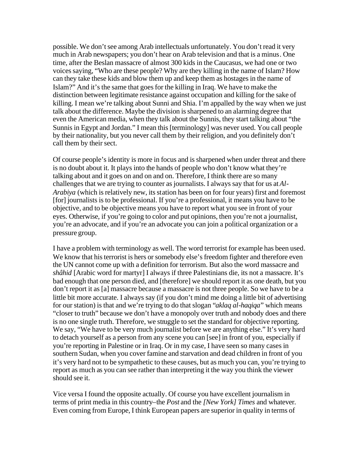possible. We don't see among Arab intellectuals unfortunately. You don't read it very much in Arab newspapers; you don't hear on Arab television and that is a minus. One time, after the Beslan massacre of almost 300 kids in the Caucasus, we had one or two voices saying, "Who are these people? Why are they killing in the name of Islam? How can they take these kids and blow them up and keep them as hostages in the name of Islam?" And it's the same that goes for the killing in Iraq. We have to make the distinction between legitimate resistance against occupation and killing for the sake of killing. I mean we're talking about Sunni and Shia. I'm appalled by the way when we just talk about the difference. Maybe the division is sharpened to an alarming degree that even the American media, when they talk about the Sunnis, they start talking about "the Sunnis in Egypt and Jordan." I mean this [terminology] was never used. You call people by their nationality, but you never call them by their religion, and you definitely don't call them by their sect.

Of course people's identity is more in focus and is sharpened when under threat and there is no doubt about it. It plays into the hands of people who don't know what they're talking about and it goes on and on and on. Therefore, I think there are so many challenges that we are trying to counter as journalists. I always say that for us at *Al-Arabiya* (which is relatively new, its station has been on for four years) first and foremost [for] journalists is to be professional. If you're a professional, it means you have to be objective, and to be objective means you have to report what you see in front of your eyes. Otherwise, if you're going to color and put opinions, then you're not a journalist, you're an advocate, and if you're an advocate you can join a political organization or a pressure group.

I have a problem with terminology as well. The word terrorist for example has been used. We know that his terrorist is hers or somebody else's freedom fighter and therefore even the UN cannot come up with a definition for terrorism. But also the word massacre and *shâhid* [Arabic word for martyr] I always if three Palestinians die, its not a massacre. It's bad enough that one person died, and [therefore] we should report it as one death, but you don't report it as [a] massacre because a massacre is not three people. So we have to be a little bit more accurate. I always say (if you don't mind me doing a little bit of advertising for our station) is that and we're trying to do that slogan "*aklaq al-haqiqa*" which means "closer to truth" because we don't have a monopoly over truth and nobody does and there is no one single truth. Therefore, we struggle to set the standard for objective reporting. We say, "We have to be very much journalist before we are anything else." It's very hard to detach yourself as a person from any scene you can [see] in front of you, especially if you're reporting in Palestine or in Iraq. Or in my case, I have seen so many cases in southern Sudan, when you cover famine and starvation and dead children in front of you it's very hard not to be sympathetic to these causes, but as much you can, you're trying to report as much as you can see rather than interpreting it the way you think the viewer should see it.

Vice versa I found the opposite actually. Of course you have excellent journalism in terms of print media in this country–the *Post* and the *[New York] Times* and whatever. Even coming from Europe, I think European papers are superior in quality in terms of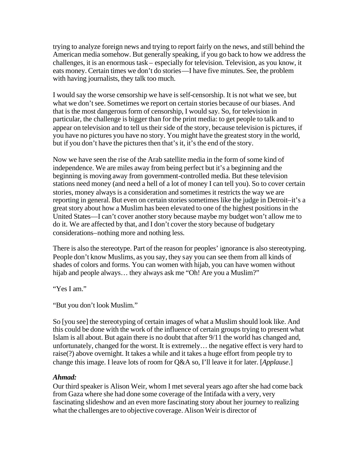trying to analyze foreign news and trying to report fairly on the news, and still behind the American media somehow. But generally speaking, if you go back to how we address the challenges, it is an enormous task – especially for television. Television, as you know, it eats money. Certain times we don't do stories—I have five minutes. See, the problem with having journalists, they talk too much.

I would say the worse censorship we have is self-censorship. It is not what we see, but what we don't see. Sometimes we report on certain stories because of our biases. And that is the most dangerous form of censorship, I would say. So, for television in particular, the challenge is bigger than for the print media: to get people to talk and to appear on television and to tell us their side of the story, because television is pictures, if you have no pictures you have no story. You might have the greatest story in the world, but if you don't have the pictures then that's it, it's the end of the story.

Now we have seen the rise of the Arab satellite media in the form of some kind of independence. We are miles away from being perfect but it's a beginning and the beginning is moving away from government-controlled media. But these television stations need money (and need a hell of a lot of money I can tell you). So to cover certain stories, money always is a consideration and sometimes it restricts the way we are reporting in general. But even on certain stories sometimes like the judge in Detroit–it's a great story about how a Muslim has been elevated to one of the highest positions in the United States—I can't cover another story because maybe my budget won't allow me to do it. We are affected by that, and I don't cover the story because of budgetary considerations–nothing more and nothing less.

There is also the stereotype. Part of the reason for peoples' ignorance is also stereotyping. People don't know Muslims, as you say, they say you can see them from all kinds of shades of colors and forms. You can women with hijab, you can have women without hijab and people always... they always ask me "Oh! Are you a Muslim?"

"Yes I am."

"But you don't look Muslim."

So [you see] the stereotyping of certain images of what a Muslim should look like. And this could be done with the work of the influence of certain groups trying to present what Islam is all about. But again there is no doubt that after 9/11 the world has changed and, unfortunately, changed for the worst. It is extremely… the negative effect is very hard to raise(?) above overnight. It takes a while and it takes a huge effort from people try to change this image. I leave lots of room for Q&A so, I'll leave it for later. [*Applause*.]

# *Ahmad:*

Our third speaker is Alison Weir, whom I met several years ago after she had come back from Gaza where she had done some coverage of the Intifada with a very, very fascinating slideshow and an even more fascinating story about her journey to realizing what the challenges are to objective coverage. Alison Weir is director of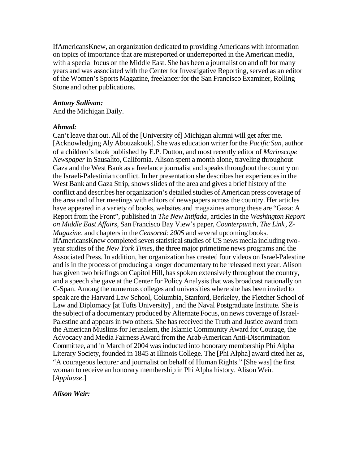IfAmericansKnew, an organization dedicated to providing Americans with information on topics of importance that are misreported or underreported in the American media, with a special focus on the Middle East. She has been a journalist on and off for many years and was associated with the Center for Investigative Reporting, served as an editor of the Women's Sports Magazine, freelancer for the San Francisco Examiner, Rolling Stone and other publications.

#### *Antony Sullivan:*

And the Michigan Daily.

#### *Ahmad:*

Can't leave that out. All of the [University of] Michigan alumni will get after me. [Acknowledging Aly Abouzakouk]. She was education writer for the *Pacific Sun*, author of a children's book published by E.P. Dutton, and most recently editor of *Marinscope Newspaper* in Sausalito, California. Alison spent a month alone, traveling throughout Gaza and the West Bank as a freelance journalist and speaks throughout the country on the Israeli-Palestinian conflict. In her presentation she describes her experiences in the West Bank and Gaza Strip, shows slides of the area and gives a brief history of the conflict and describes her organization's detailed studies of American press coverage of the area and of her meetings with editors of newspapers across the country. Her articles have appeared in a variety of books, websites and magazines among these are "Gaza: A Report from the Front", published in *The New Intifada*, articles in the *Washington Report on Middle East Affairs*, San Francisco Bay View's paper, *Counterpunch*, *The Link*, *Z-Magazine*, and chapters in the *Censored: 2005* and several upcoming books. IfAmericansKnew completed seven statistical studies of US news media including twoyear studies of the *New York Times*, the three major primetime news programs and the Associated Press. In addition, her organization has created four videos on Israel-Palestine and is in the process of producing a longer documentary to be released next year. Alison has given two briefings on Capitol Hill, has spoken extensively throughout the country, and a speech she gave at the Center for Policy Analysis that was broadcast nationally on C-Span. Among the numerous colleges and universities where she has been invited to speak are the Harvard Law School, Columbia, Stanford, Berkeley, the Fletcher School of Law and Diplomacy [at Tufts University] , and the Naval Postgraduate Institute. She is the subject of a documentary produced by Alternate Focus, on news coverage of Israel-Palestine and appears in two others. She has received the Truth and Justice award from the American Muslims for Jerusalem, the Islamic Community Award for Courage, the Advocacy and Media Fairness Award from the Arab-American Anti-Discrimination Committee, and in March of 2004 was inducted into honorary membership Phi Alpha Literary Society, founded in 1845 at Illinois College. The [Phi Alpha] award cited her as, "A courageous lecturer and journalist on behalf of Human Rights." [She was] the first woman to receive an honorary membership in Phi Alpha history. Alison Weir. [*Applause*.]

#### *Alison Weir:*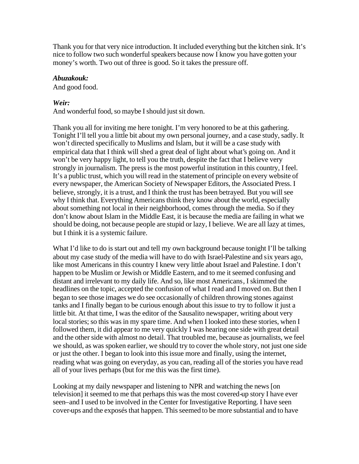Thank you for that very nice introduction. It included everything but the kitchen sink. It's nice to follow two such wonderful speakers because now I know you have gotten your money's worth. Two out of three is good. So it takes the pressure off.

#### *Abuzakouk:*

And good food.

# *Weir:*

And wonderful food, so maybe I should just sit down.

Thank you all for inviting me here tonight. I'm very honored to be at this gathering. Tonight I'll tell you a little bit about my own personal journey, and a case study, sadly. It won't directed specifically to Muslims and Islam, but it will be a case study with empirical data that I think will shed a great deal of light about what's going on. And it won't be very happy light, to tell you the truth, despite the fact that I believe very strongly in journalism. The press is the most powerful institution in this country, I feel. It's a public trust, which you will read in the statement of principle on every website of every newspaper, the American Society of Newspaper Editors, the Associated Press. I believe, strongly, it is a trust, and I think the trust has been betrayed. But you will see why I think that. Everything Americans think they know about the world, especially about something not local in their neighborhood, comes through the media. So if they don't know about Islam in the Middle East, it is because the media are failing in what we should be doing, not because people are stupid or lazy, I believe. We are all lazy at times, but I think it is a systemic failure.

What I'd like to do is start out and tell my own background because tonight I'll be talking about my case study of the media will have to do with Israel-Palestine and six years ago, like most Americans in this country I knew very little about Israel and Palestine. I don't happen to be Muslim or Jewish or Middle Eastern, and to me it seemed confusing and distant and irrelevant to my daily life. And so, like most Americans, I skimmed the headlines on the topic, accepted the confusion of what I read and I moved on. But then I began to see those images we do see occasionally of children throwing stones against tanks and I finally began to be curious enough about this issue to try to follow it just a little bit. At that time, I was the editor of the Sausalito newspaper, writing about very local stories; so this was in my spare time. And when I looked into these stories, when I followed them, it did appear to me very quickly I was hearing one side with great detail and the other side with almost no detail. That troubled me, because as journalists, we feel we should, as was spoken earlier, we should try to cover the whole story, not just one side or just the other. I began to look into this issue more and finally, using the internet, reading what was going on everyday, as you can, reading all of the stories you have read all of your lives perhaps (but for me this was the first time).

Looking at my daily newspaper and listening to NPR and watching the news [on television] it seemed to me that perhaps this was the most covered-up story I have ever seen–and I used to be involved in the Center for Investigative Reporting. I have seen cover-ups and the exposés that happen. This seemed to be more substantial and to have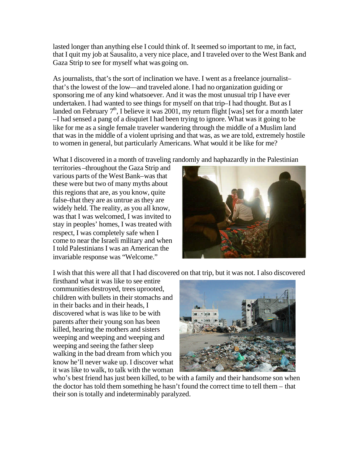lasted longer than anything else I could think of. It seemed so important to me, in fact, that I quit my job at Sausalito, a very nice place, and I traveled over to the West Bank and Gaza Strip to see for myself what was going on.

As journalists, that's the sort of inclination we have. I went as a freelance journalist– that's the lowest of the low—and traveled alone. I had no organization guiding or sponsoring me of any kind whatsoever. And it was the most unusual trip I have ever undertaken. I had wanted to see things for myself on that trip–I had thought. But as I landed on February  $7<sup>th</sup>$ , I believe it was 2001, my return flight [was] set for a month later –I had sensed a pang of a disquiet I had been trying to ignore. What was it going to be like for me as a single female traveler wandering through the middle of a Muslim land that was in the middle of a violent uprising and that was, as we are told, extremely hostile to women in general, but particularly Americans. What would it be like for me?

What I discovered in a month of traveling randomly and haphazardly in the Palestinian

territories –throughout the Gaza Strip and various parts of the West Bank–was that these were but two of many myths about this regions that are, as you know, quite false–that they are as untrue as they are widely held. The reality, as you all know, was that I was welcomed, I was invited to stay in peoples' homes, I was treated with respect, I was completely safe when I come to near the Israeli military and when I told Palestinians I was an American the invariable response was "Welcome."



I wish that this were all that I had discovered on that trip, but it was not. I also discovered

firsthand what it was like to see entire communities destroyed, trees uprooted, children with bullets in their stomachs and in their backs and in their heads, I discovered what is was like to be with parents after their young son has been killed, hearing the mothers and sisters weeping and weeping and weeping and weeping and seeing the father sleep walking in the bad dream from which you know he'll never wake up. I discover what it was like to walk, to talk with the woman



who's best friend has just been killed, to be with a family and their handsome son when the doctor has told them something he hasn't found the correct time to tell them – that their son is totally and indeterminably paralyzed.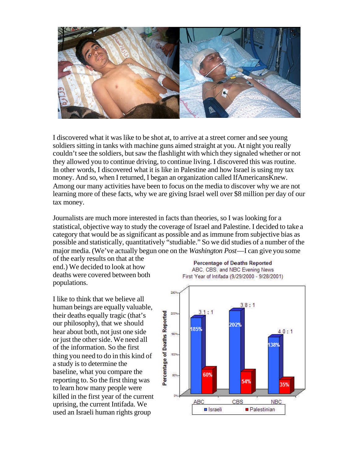

I discovered what it was like to be shot at, to arrive at a street corner and see young soldiers sitting in tanks with machine guns aimed straight at you. At night you really couldn't see the soldiers, but saw the flashlight with which they signaled whether or not they allowed you to continue driving, to continue living. I discovered this was routine. In other words, I discovered what it is like in Palestine and how Israel is using my tax money. And so, when I returned, I began an organization called IfAmericansKnew. Among our many activities have been to focus on the media to discover why we are not learning more of these facts, why we are giving Israel well over \$8 million per day of our tax money.

Journalists are much more interested in facts than theories, so I was looking for a statistical, objective way to study the coverage of Israel and Palestine. I decided to take a category that would be as significant as possible and as immune from subjective bias as possible and statistically, quantitatively "studiable." So we did studies of a number of the major media. (We've actually begun one on the *Washington Post*—I can give you some

of the early results on that at the end.) We decided to look at how deaths were covered between both populations.

I like to think that we believe all human beings are equally valuable, their deaths equally tragic (that's our philosophy), that we should hear about both, not just one side or just the other side. We need all of the information. So the first thing you need to do in this kind of a study is to determine the baseline, what you compare the reporting to. So the first thing was to learn how many people were killed in the first year of the current uprising, the current Intifada. We used an Israeli human rights group



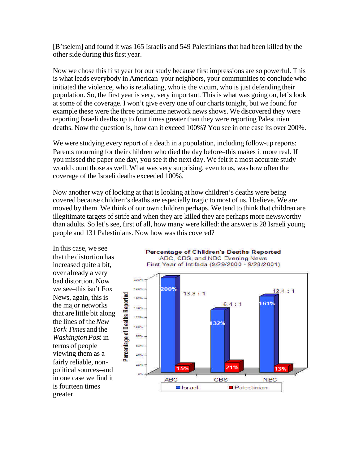[B'tselem] and found it was 165 Israelis and 549 Palestinians that had been killed by the other side during this first year.

Now we chose this first year for our study because first impressions are so powerful. This is what leads everybody in American–your neighbors, your communities to conclude who initiated the violence, who is retaliating, who is the victim, who is just defending their population. So, the first year is very, very important. This is what was going on, let's look at some of the coverage. I won't give every one of our charts tonight, but we found for example these were the three primetime network news shows. We discovered they were reporting Israeli deaths up to four times greater than they were reporting Palestinian deaths. Now the question is, how can it exceed 100%? You see in one case its over 200%.

We were studying every report of a death in a population, including follow-up reports: Parents mourning for their children who died the day before–this makes it more real. If you missed the paper one day, you see it the next day. We felt it a most accurate study would count those as well. What was very surprising, even to us, was how often the coverage of the Israeli deaths exceeded 100%.

Now another way of looking at that is looking at how children's deaths were being covered because children's deaths are especially tragic to most of us, I believe. We are moved by them. We think of our own children perhaps. We tend to think that children are illegitimate targets of strife and when they are killed they are perhaps more newsworthy than adults. So let's see, first of all, how many were killed: the answer is 28 Israeli young people and 131 Palestinians. Now how was this covered?

In this case, we see that the distortion has increased quite a bit, over already a very bad distortion. Now we see–this isn't Fox News, again, this is the major networks that are little bit along the lines of the *New York Times* and the *Washington Post* in terms of people viewing them as a fairly reliable, nonpolitical sources–and in one case we find it is fourteen times greater.



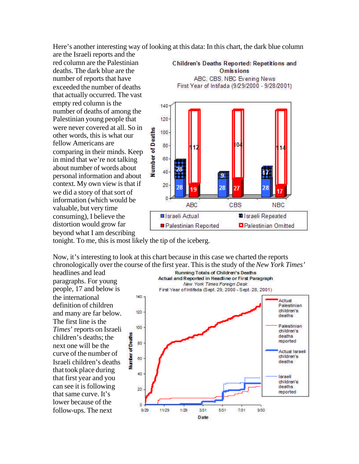Here's another interesting way of looking at this data: In this chart, the dark blue column

are the Israeli reports and the red column are the Palestinian deaths. The dark blue are the number of reports that have exceeded the number of deaths that actually occurred. The vast empty red column is the number of deaths of among the Palestinian young people that were never covered at all. So in other words, this is what our fellow Americans are comparing in their minds. Keep in mind that we're not talking about number of words about personal information and about context. My own view is that if we did a story of that sort of information (which would be valuable, but very time consuming), I believe the distortion would grow far beyond what I am describing



tonight. To me, this is most likely the tip of the iceberg.

Now, it's interesting to look at this chart because in this case we charted the reports chronologically over the course of the first year. This is the study of the *New York Times'*

headlines and lead paragraphs. For young people, 17 and below is the international definition of children and many are far below. The first line is the *Times*' reports on Israeli children's deaths; the next one will be the curve of the number of Israeli children's deaths that took place during that first year and you can see it is following that same curve. It's lower because of the follow-ups. The next

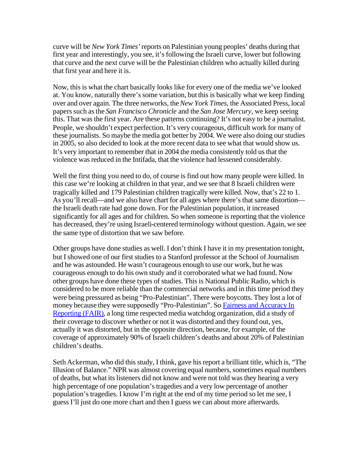curve will be *New York Times'* reports on Palestinian young peoples' deaths during that first year and interestingly, you see, it's following the Israeli curve, lower but following that curve and the next curve will be the Palestinian children who actually killed during that first year and here it is.

Now, this is what the chart basically looks like for every one of the media we've looked at. You know, naturally there's some variation, but this is basically what we keep finding over and over again. The three networks, the *New York Times*, the Associated Press, local papers such as the *San Francisco Chronicle* and the *San Jose Mercury*, we keep seeing this. That was the first year. Are these patterns continuing? It's not easy to be a journalist. People, we shouldn't expect perfection. It's very courageous, difficult work for many of these journalists. So maybe the media got better by 2004. We were also doing our studies in 2005, so also decided to look at the more recent data to see what that would show us. It's very important to remember that in 2004 the media consistently told us that the violence was reduced in the Intifada, that the violence had lessened considerably.

Well the first thing you need to do, of course is find out how many people were killed. In this case we're looking at children in that year, and we see that 8 Israeli children were tragically killed and 179 Palestinian children tragically were killed. Now, that's 22 to 1. As you'll recall—and we also have chart for all ages where there's that same distortion the Israeli death rate had gone down. For the Palestinian population, it increased significantly for all ages and for children. So when someone is reporting that the violence has decreased, they're using Israeli-centered terminology without question. Again, we see the same type of distortion that we saw before.

Other groups have done studies as well. I don't think I have it in my presentation tonight, but I showed one of our first studies to a Stanford professor at the School of Journalism and he was astounded. He wasn't courageous enough to use our work, but he was courageous enough to do his own study and it corroborated what we had found. Now other groups have done these types of studies. This is National Public Radio, which is considered to be more reliable than the commercial networks and in this time period they were being pressured as being "Pro-Palestinian". There were boycotts. They lost a lot of money because they were supposedly "Pro-Palestinian". So Fairness and Accuracy In Reporting (FAIR), a long time respected media watchdog organization, did a study of their coverage to discover whether or not it was distorted and they found out, yes, actually it was distorted, but in the opposite direction, because, for example, of the coverage of approximately 90% of Israeli children's deaths and about 20% of Palestinian children's deaths.

Seth Ackerman, who did this study, I think, gave his report a brilliant title, which is, "The Illusion of Balance." NPR was almost covering equal numbers, sometimes equal numbers of deaths, but what its listeners did not know and were not told was they hearing a very high percentage of one population's tragedies and a very low percentage of another population's tragedies. I know I'm right at the end of my time period so let me see, I guess I'll just do one more chart and then I guess we can about more afterwards.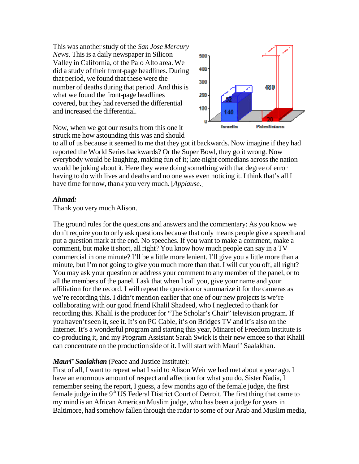This was another study of the *San Jose Mercury News*. This is a daily newspaper in Silicon Valley in California, of the Palo Alto area. We did a study of their front-page headlines. During that period, we found that these were the number of deaths during that period. And this is what we found the front-page headlines covered, but they had reversed the differential and increased the differential.



Now, when we got our results from this one it struck me how astounding this was and should

to all of us because it seemed to me that they got it backwards. Now imagine if they had reported the World Series backwards? Or the Super Bowl, they go it wrong. Now everybody would be laughing, making fun of it; late-night comedians across the nation would be joking about it. Here they were doing something with that degree of error having to do with lives and deaths and no one was even noticing it. I think that's all I have time for now, thank you very much. [*Applause*.]

#### *Ahmad:*

Thank you very much Alison.

The ground rules for the questions and answers and the commentary: As you know we don't require you to only ask questions because that only means people give a speech and put a question mark at the end. No speeches. If you want to make a comment, make a comment, but make it short, all right? You know how much people can say in a TV commercial in one minute? I'll be a little more lenient. I'll give you a little more than a minute, but I'm not going to give you much more than that. I will cut you off, all right? You may ask your question or address your comment to any member of the panel, or to all the members of the panel. I ask that when I call you, give your name and your affiliation for the record. I will repeat the question or summarize it for the cameras as we're recording this. I didn't mention earlier that one of our new projects is we're collaborating with our good friend Khalil Shadeed, who I neglected to thank for recording this. Khalil is the producer for "The Scholar's Chair" television program. If you haven't seen it, see it. It's on PG Cable, it's on Bridges TV and it's also on the Internet. It's a wonderful program and starting this year, Minaret of Freedom Institute is co-producing it, and my Program Assistant Sarah Swick is their new emcee so that Khalil can concentrate on the production side of it. I will start with Mauri' Saalakhan.

#### *Mauri' Saalakhan* (Peace and Justice Institute):

First of all, I want to repeat what I said to Alison Weir we had met about a year ago. I have an enormous amount of respect and affection for what you do. Sister Nadia, I remember seeing the report, I guess, a few months ago of the female judge, the first female judge in the  $9<sup>th</sup> US Federal District Court of Detroit. The first thing that came to$ my mind is an African American Muslim judge, who has been a judge for years in Baltimore, had somehow fallen through the radar to some of our Arab and Muslim media,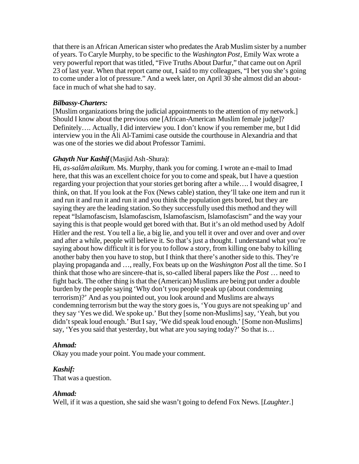that there is an African American sister who predates the Arab Muslim sister by a number of years. To Caryle Murphy, to be specific to the *Washington Post*, Emily Wax wrote a very powerful report that was titled, "Five Truths About Darfur," that came out on April 23 of last year. When that report came out, I said to my colleagues, "I bet you she's going to come under a lot of pressure." And a week later, on April 30 she almost did an aboutface in much of what she had to say.

# *Bilbassy-Charters:*

[Muslim organizations bring the judicial appointments to the attention of my network.] Should I know about the previous one [African-American Muslim female judge]? Definitely…. Actually, I did interview you. I don't know if you remember me, but I did interview you in the Ali Al-Tamimi case outside the courthouse in Alexandria and that was one of the stories we did about Professor Tamimi.

# *Ghayth Nur Kashif* (Masjid Ash-Shura):

Hi, *as-salâm alaikum*. Ms. Murphy, thank you for coming. I wrote an e-mail to Imad here, that this was an excellent choice for you to come and speak, but I have a question regarding your projection that your stories get boring after a while…. I would disagree, I think, on that. If you look at the Fox (News cable) station, they'll take one item and run it and run it and run it and run it and you think the population gets bored, but they are saying they are the leading station. So they successfully used this method and they will repeat "Islamofascism, Islamofascism, Islamofascism, Islamofascism" and the way your saying this is that people would get bored with that. But it's an old method used by Adolf Hitler and the rest. You tell a lie, a big lie, and you tell it over and over and over and over and after a while, people will believe it. So that's just a thought. I understand what you're saying about how difficult it is for you to follow a story, from killing one baby to killing another baby then you have to stop, but I think that there's another side to this. They're playing propaganda and …, really, Fox beats up on the *Washington Post* all the time. So I think that those who are sincere–that is, so-called liberal papers like the *Post* … need to fight back. The other thing is that the (American) Muslims are being put under a double burden by the people saying 'Why don't you people speak up (about condemning terrorism)?' And as you pointed out, you look around and Muslims are always condemning terrorism but the way the story goes is, 'You guys are not speaking up' and they say 'Yes we did. We spoke up.' But they [some non-Muslims] say, 'Yeah, but you didn't speak loud enough.' But I say, 'We did speak loud enough.' [Some non-Muslims] say, 'Yes you said that yesterday, but what are you saying today?' So that is...

# *Ahmad:*

Okay you made your point. You made your comment.

# *Kashif:*

That was a question.

# *Ahmad:*

Well, if it was a question, she said she wasn't going to defend Fox News. [*Laughter*.]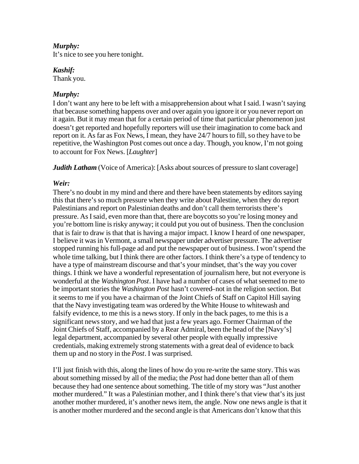#### *Murphy:*

It's nice to see you here tonight.

*Kashif:* 

Thank you.

# *Murphy:*

I don't want any here to be left with a misapprehension about what I said. I wasn't saying that because something happens over and over again you ignore it or you never report on it again. But it may mean that for a certain period of time that particular phenomenon just doesn't get reported and hopefully reporters will use their imagination to come back and report on it. As far as Fox News, I mean, they have 24/7 hours to fill, so they have to be repetitive, the Washington Post comes out once a day. Though, you know, I'm not going to account for Fox News. [*Laughter*]

*Judith Latham* (Voice of America): [Asks about sources of pressure to slant coverage]

# *Weir:*

There's no doubt in my mind and there and there have been statements by editors saying this that there's so much pressure when they write about Palestine, when they do report Palestinians and report on Palestinian deaths and don't call them terrorists there's pressure. As I said, even more than that, there are boycotts so you're losing money and you're bottom line is risky anyway; it could put you out of business. Then the conclusion that is fair to draw is that that is having a major impact. I know I heard of one newspaper, I believe it was in Vermont, a small newspaper under advertiser pressure. The advertiser stopped running his full-page ad and put the newspaper out of business. I won't spend the whole time talking, but I think there are other factors. I think there's a type of tendency to have a type of mainstream discourse and that's your mindset, that's the way you cover things. I think we have a wonderful representation of journalism here, but not everyone is wonderful at the *Washington Post*. I have had a number of cases of what seemed to me to be important stories the *Washington Post* hasn't covered–not in the religion section. But it seems to me if you have a chairman of the Joint Chiefs of Staff on Capitol Hill saying that the Navy investigating team was ordered by the White House to whitewash and falsify evidence, to me this is a news story. If only in the back pages, to me this is a significant news story, and we had that just a few years ago. Former Chairman of the Joint Chiefs of Staff, accompanied by a Rear Admiral, been the head of the [Navy's] legal department, accompanied by several other people with equally impressive credentials, making extremely strong statements with a great deal of evidence to back them up and no story in the *Post*. I was surprised.

I'll just finish with this, along the lines of how do you re-write the same story. This was about something missed by all of the media; the *Post* had done better than all of them because they had one sentence about something. The title of my story was "Just another mother murdered." It was a Palestinian mother, and I think there's that view that's its just another mother murdered, it's another news item, the angle. Now one news angle is that it is another mother murdered and the second angle is that Americans don't know that this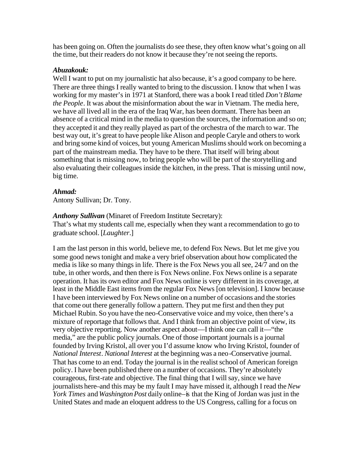has been going on. Often the journalists do see these, they often know what's going on all the time, but their readers do not know it because they're not seeing the reports.

#### *Abuzakouk:*

Well I want to put on my journalistic hat also because, it's a good company to be here. There are three things I really wanted to bring to the discussion. I know that when I was working for my master's in 1971 at Stanford, there was a book I read titled *Don't Blame the People*. It was about the misinformation about the war in Vietnam. The media here, we have all lived all in the era of the Iraq War, has been dormant. There has been an absence of a critical mind in the media to question the sources, the information and so on; they accepted it and they really played as part of the orchestra of the march to war. The best way out, it's great to have people like Alison and people Caryle and others to work and bring some kind of voices, but young American Muslims should work on becoming a part of the mainstream media. They have to be there. That itself will bring about something that is missing now, to bring people who will be part of the storytelling and also evaluating their colleagues inside the kitchen, in the press. That is missing until now, big time.

#### *Ahmad:*

Antony Sullivan; Dr. Tony.

#### *Anthony Sullivan* (Minaret of Freedom Institute Secretary):

That's what my students call me, especially when they want a recommendation to go to graduate school. [*Laughter*.]

I am the last person in this world, believe me, to defend Fox News. But let me give you some good news tonight and make a very brief observation about how complicated the media is like so many things in life. There is the Fox News you all see, 24/7 and on the tube, in other words, and then there is Fox News online. Fox News online is a separate operation. It has its own editor and Fox News online is very different in its coverage, at least in the Middle East items from the regular Fox News [on television]. I know because I have been interviewed by Fox News online on a number of occasions and the stories that come out there generally follow a pattern. They put me first and then they put Michael Rubin. So you have the neo-Conservative voice and my voice, then there's a mixture of reportage that follows that. And I think from an objective point of view, its very objective reporting. Now another aspect about—I think one can call it—"the media," are the public policy journals. One of those important journals is a journal founded by Irving Kristol, all over you I'd assume know who Irving Kristol, founder of *National Interest*. *National Interest* at the beginning was a neo-Conservative journal. That has come to an end. Today the journal is in the realist school of American foreign policy. I have been published there on a number of occasions. They're absolutely courageous, first-rate and objective. The final thing that I will say, since we have journalists here–and this may be my fault I may have missed it, although I read the *New York Times* and *Washington Post* daily online–is that the King of Jordan was just in the United States and made an eloquent address to the US Congress, calling for a focus on